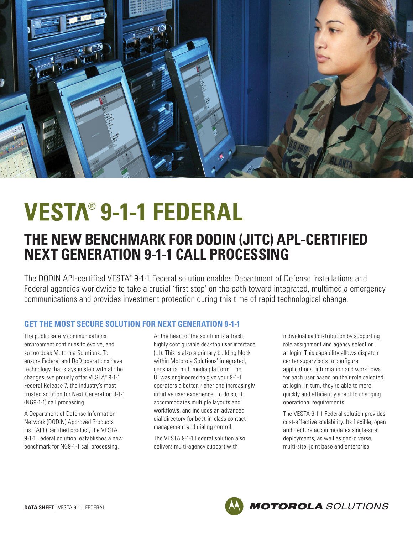

# **VESTA® 9-1-1 FEDERAL**

# **THE NEW BENCHMARK FOR DODIN (JITC) APL-CERTIFIED NEXT GENERATION 9-1-1 CALL PROCESSING**

The DODIN APL-certified VESTA® 9-1-1 Federal solution enables Department of Defense installations and Federal agencies worldwide to take a crucial 'first step' on the path toward integrated, multimedia emergency communications and provides investment protection during this time of rapid technological change.

# **GET THE MOST SECURE SOLUTION FOR NEXT GENERATION 9-1-1**

The public safety communications environment continues to evolve, and so too does Motorola Solutions. To ensure Federal and DoD operations have technology that stays in step with all the changes, we proudly offer VESTA® 9-1-1 Federal Release 7, the industry's most trusted solution for Next Generation 9-1-1 (NG9-1-1) call processing.

A Department of Defense Information Network (DODIN) Approved Products List (APL) certified product, the VESTA 9-1-1 Federal solution, establishes a new benchmark for NG9-1-1 call processing.

At the heart of the solution is a fresh, highly configurable desktop user interface (UI). This is also a primary building block within Motorola Solutions' integrated, geospatial multimedia platform. The UI was engineered to give your 9-1-1 operators a better, richer and increasingly intuitive user experience. To do so, it accommodates multiple layouts and workflows, and includes an advanced dial directory for best-in-class contact management and dialing control.

The VESTA 9-1-1 Federal solution also delivers multi-agency support with

individual call distribution by supporting role assignment and agency selection at login. This capability allows dispatch center supervisors to configure applications, information and workflows for each user based on their role selected at login. In turn, they're able to more quickly and efficiently adapt to changing operational requirements.

The VESTA 9-1-1 Federal solution provides cost-effective scalability. Its flexible, open architecture accommodates single-site deployments, as well as geo-diverse, multi-site, joint base and enterprise